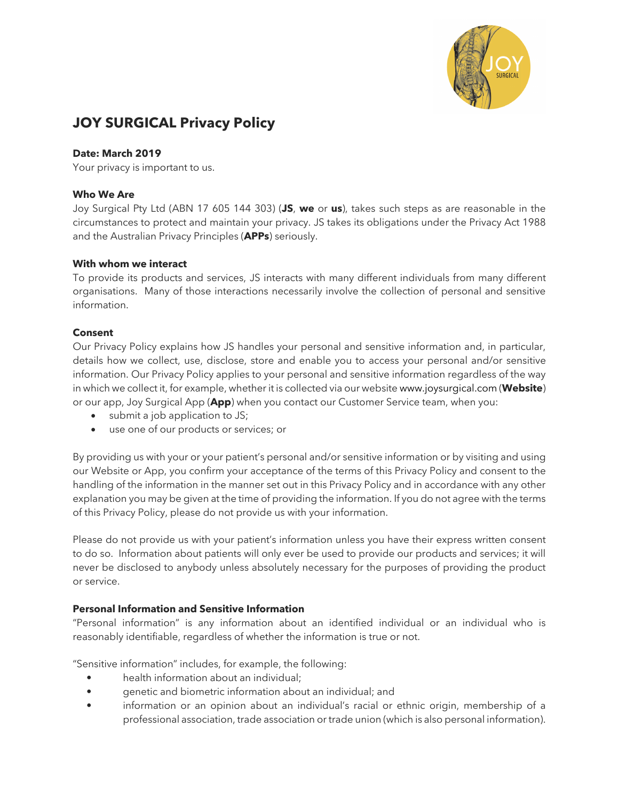

# **JOY SURGICAL Privacy Policy**

### **Date: March 2019**

Your privacy is important to us.

### **Who We Are**

Joy Surgical Pty Ltd (ABN 17 605 144 303) (**JS**, **we** or **us**), takes such steps as are reasonable in the circumstances to protect and maintain your privacy. JS takes its obligations under the Privacy Act 1988 and the Australian Privacy Principles (**APPs**) seriously.

### **With whom we interact**

To provide its products and services, JS interacts with many different individuals from many different organisations. Many of those interactions necessarily involve the collection of personal and sensitive information.

### **Consent**

Our Privacy Policy explains how JS handles your personal and sensitive information and, in particular, details how we collect, use, disclose, store and enable you to access your personal and/or sensitive information. Our Privacy Policy applies to your personal and sensitive information regardless of the way in which we collect it, for example, whether it is collected via our website www.joysurgical.com (**Website**) or our app, Joy Surgical App (**App**) when you contact our Customer Service team, when you:

- submit a job application to JS;
- use one of our products or services; or

By providing us with your or your patient's personal and/or sensitive information or by visiting and using our Website or App, you confirm your acceptance of the terms of this Privacy Policy and consent to the handling of the information in the manner set out in this Privacy Policy and in accordance with any other explanation you may be given at the time of providing the information. If you do not agree with the terms of this Privacy Policy, please do not provide us with your information.

Please do not provide us with your patient's information unless you have their express written consent to do so. Information about patients will only ever be used to provide our products and services; it will never be disclosed to anybody unless absolutely necessary for the purposes of providing the product or service.

# **Personal Information and Sensitive Information**

"Personal information" is any information about an identified individual or an individual who is reasonably identifiable, regardless of whether the information is true or not.

"Sensitive information" includes, for example, the following:

- health information about an individual;
- genetic and biometric information about an individual; and
- information or an opinion about an individual's racial or ethnic origin, membership of a professional association, trade association or trade union (which is also personal information).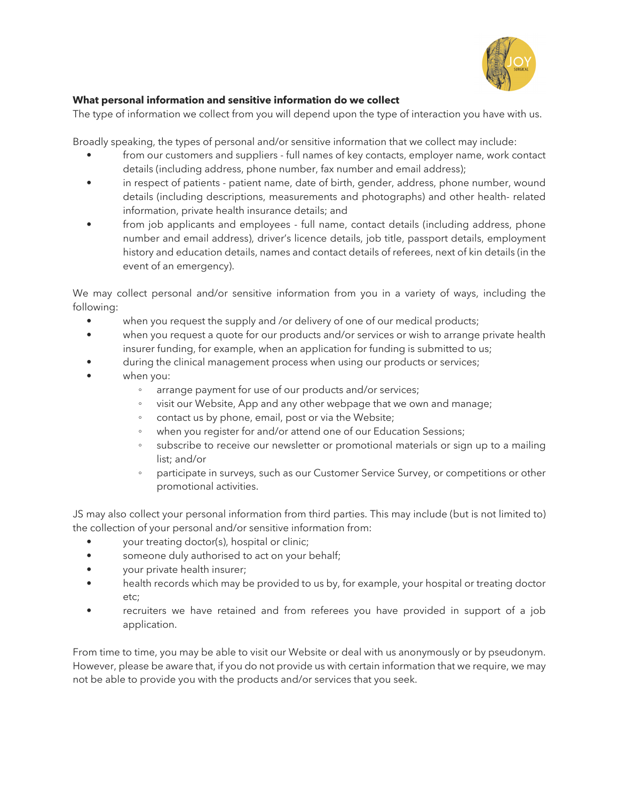

### **What personal information and sensitive information do we collect**

The type of information we collect from you will depend upon the type of interaction you have with us.

Broadly speaking, the types of personal and/or sensitive information that we collect may include:

- from our customers and suppliers full names of key contacts, employer name, work contact details (including address, phone number, fax number and email address);
- in respect of patients patient name, date of birth, gender, address, phone number, wound details (including descriptions, measurements and photographs) and other health- related information, private health insurance details; and
- from job applicants and employees full name, contact details (including address, phone number and email address), driver's licence details, job title, passport details, employment history and education details, names and contact details of referees, next of kin details (in the event of an emergency).

We may collect personal and/or sensitive information from you in a variety of ways, including the following:

- when you request the supply and /or delivery of one of our medical products;
- when you request a quote for our products and/or services or wish to arrange private health insurer funding, for example, when an application for funding is submitted to us;
	- during the clinical management process when using our products or services;
- when you:
	- arrange payment for use of our products and/or services;
	- visit our Website, App and any other webpage that we own and manage;
	- contact us by phone, email, post or via the Website;
	- when you register for and/or attend one of our Education Sessions;
	- subscribe to receive our newsletter or promotional materials or sign up to a mailing list; and/or
	- participate in surveys, such as our Customer Service Survey, or competitions or other promotional activities.

JS may also collect your personal information from third parties. This may include (but is not limited to) the collection of your personal and/or sensitive information from:

- your treating doctor(s), hospital or clinic;
- someone duly authorised to act on your behalf;
- your private health insurer;
- health records which may be provided to us by, for example, your hospital or treating doctor etc;
- recruiters we have retained and from referees you have provided in support of a job application.

From time to time, you may be able to visit our Website or deal with us anonymously or by pseudonym. However, please be aware that, if you do not provide us with certain information that we require, we may not be able to provide you with the products and/or services that you seek.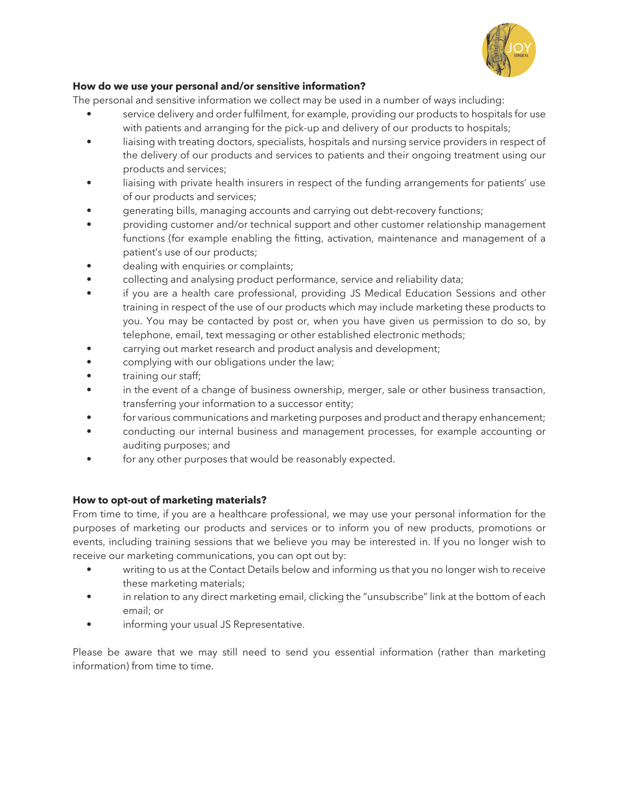

# **How do we use your personal and/or sensitive information?**

The personal and sensitive information we collect may be used in a number of ways including:

- service delivery and order fulfilment, for example, providing our products to hospitals for use with patients and arranging for the pick-up and delivery of our products to hospitals;
- liaising with treating doctors, specialists, hospitals and nursing service providers in respect of the delivery of our products and services to patients and their ongoing treatment using our products and services;
- liaising with private health insurers in respect of the funding arrangements for patients' use of our products and services;
- generating bills, managing accounts and carrying out debt-recovery functions;
- providing customer and/or technical support and other customer relationship management functions (for example enabling the fitting, activation, maintenance and management of a patient's use of our products;
- dealing with enquiries or complaints;
- collecting and analysing product performance, service and reliability data;
- if you are a health care professional, providing JS Medical Education Sessions and other training in respect of the use of our products which may include marketing these products to you. You may be contacted by post or, when you have given us permission to do so, by telephone, email, text messaging or other established electronic methods;
- carrying out market research and product analysis and development;
- complying with our obligations under the law;
- training our staff;
- in the event of a change of business ownership, merger, sale or other business transaction, transferring your information to a successor entity;
- for various communications and marketing purposes and product and therapy enhancement;
- conducting our internal business and management processes, for example accounting or auditing purposes; and
- for any other purposes that would be reasonably expected.

# **How to opt-out of marketing materials?**

From time to time, if you are a healthcare professional, we may use your personal information for the purposes of marketing our products and services or to inform you of new products, promotions or events, including training sessions that we believe you may be interested in. If you no longer wish to receive our marketing communications, you can opt out by:

- writing to us at the Contact Details below and informing us that you no longer wish to receive these marketing materials;
- in relation to any direct marketing email, clicking the "unsubscribe" link at the bottom of each email; or
- informing your usual JS Representative.

Please be aware that we may still need to send you essential information (rather than marketing information) from time to time.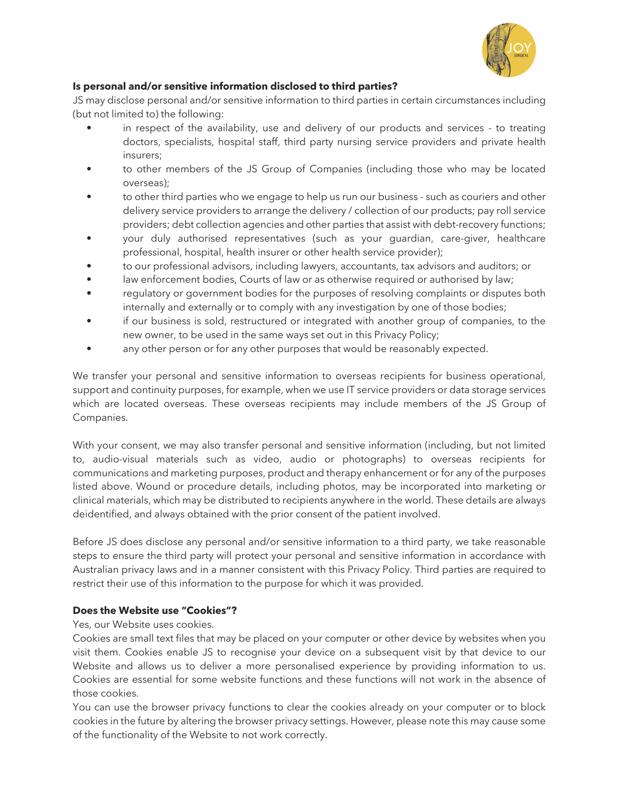

# **Is personal and/or sensitive information disclosed to third parties?**

JS may disclose personal and/or sensitive information to third parties in certain circumstances including (but not limited to) the following:

- in respect of the availability, use and delivery of our products and services to treating doctors, specialists, hospital staff, third party nursing service providers and private health insurers;
- to other members of the JS Group of Companies (including those who may be located overseas);
- to other third parties who we engage to help us run our business such as couriers and other delivery service providers to arrange the delivery / collection of our products; pay roll service providers; debt collection agencies and other parties that assist with debt-recovery functions;
- your duly authorised representatives (such as your guardian, care-giver, healthcare professional, hospital, health insurer or other health service provider);
- to our professional advisors, including lawyers, accountants, tax advisors and auditors; or
- law enforcement bodies, Courts of law or as otherwise required or authorised by law;
- regulatory or government bodies for the purposes of resolving complaints or disputes both internally and externally or to comply with any investigation by one of those bodies;
- if our business is sold, restructured or integrated with another group of companies, to the new owner, to be used in the same ways set out in this Privacy Policy;
- any other person or for any other purposes that would be reasonably expected.

We transfer your personal and sensitive information to overseas recipients for business operational, support and continuity purposes, for example, when we use IT service providers or data storage services which are located overseas. These overseas recipients may include members of the JS Group of Companies.

With your consent, we may also transfer personal and sensitive information (including, but not limited to, audio-visual materials such as video, audio or photographs) to overseas recipients for communications and marketing purposes, product and therapy enhancement or for any of the purposes listed above. Wound or procedure details, including photos, may be incorporated into marketing or clinical materials, which may be distributed to recipients anywhere in the world. These details are always deidentified, and always obtained with the prior consent of the patient involved.

Before JS does disclose any personal and/or sensitive information to a third party, we take reasonable steps to ensure the third party will protect your personal and sensitive information in accordance with Australian privacy laws and in a manner consistent with this Privacy Policy. Third parties are required to restrict their use of this information to the purpose for which it was provided.

# **Does the Website use "Cookies"?**

Yes, our Website uses cookies.

Cookies are small text files that may be placed on your computer or other device by websites when you visit them. Cookies enable JS to recognise your device on a subsequent visit by that device to our Website and allows us to deliver a more personalised experience by providing information to us. Cookies are essential for some website functions and these functions will not work in the absence of those cookies.

You can use the browser privacy functions to clear the cookies already on your computer or to block cookies in the future by altering the browser privacy settings. However, please note this may cause some of the functionality of the Website to not work correctly.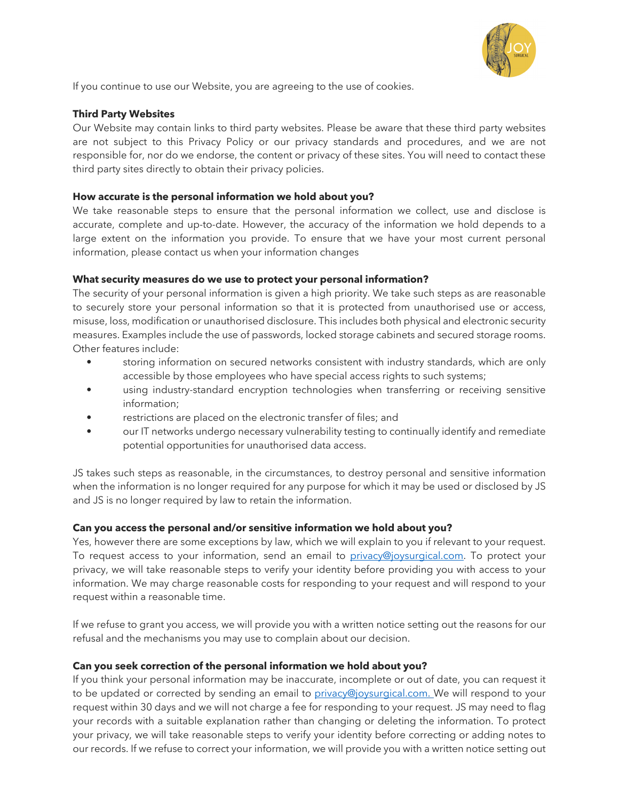

If you continue to use our Website, you are agreeing to the use of cookies.

### **Third Party Websites**

Our Website may contain links to third party websites. Please be aware that these third party websites are not subject to this Privacy Policy or our privacy standards and procedures, and we are not responsible for, nor do we endorse, the content or privacy of these sites. You will need to contact these third party sites directly to obtain their privacy policies.

### **How accurate is the personal information we hold about you?**

We take reasonable steps to ensure that the personal information we collect, use and disclose is accurate, complete and up-to-date. However, the accuracy of the information we hold depends to a large extent on the information you provide. To ensure that we have your most current personal information, please contact us when your information changes

### **What security measures do we use to protect your personal information?**

The security of your personal information is given a high priority. We take such steps as are reasonable to securely store your personal information so that it is protected from unauthorised use or access, misuse, loss, modification or unauthorised disclosure. This includes both physical and electronic security measures. Examples include the use of passwords, locked storage cabinets and secured storage rooms. Other features include:

- storing information on secured networks consistent with industry standards, which are only accessible by those employees who have special access rights to such systems;
- using industry-standard encryption technologies when transferring or receiving sensitive information;
- restrictions are placed on the electronic transfer of files; and
- our IT networks undergo necessary vulnerability testing to continually identify and remediate potential opportunities for unauthorised data access.

JS takes such steps as reasonable, in the circumstances, to destroy personal and sensitive information when the information is no longer required for any purpose for which it may be used or disclosed by JS and JS is no longer required by law to retain the information.

# **Can you access the personal and/or sensitive information we hold about you?**

Yes, however there are some exceptions by law, which we will explain to you if relevant to your request. To request access to your information, send an email to privacy@joysurgical.com. To protect your privacy, we will take reasonable steps to verify your identity before providing you with access to your information. We may charge reasonable costs for responding to your request and will respond to your request within a reasonable time.

If we refuse to grant you access, we will provide you with a written notice setting out the reasons for our refusal and the mechanisms you may use to complain about our decision.

# **Can you seek correction of the personal information we hold about you?**

If you think your personal information may be inaccurate, incomplete or out of date, you can request it to be updated or corrected by sending an email to privacy@joysurgical.com. We will respond to your request within 30 days and we will not charge a fee for responding to your request. JS may need to flag your records with a suitable explanation rather than changing or deleting the information. To protect your privacy, we will take reasonable steps to verify your identity before correcting or adding notes to our records. If we refuse to correct your information, we will provide you with a written notice setting out